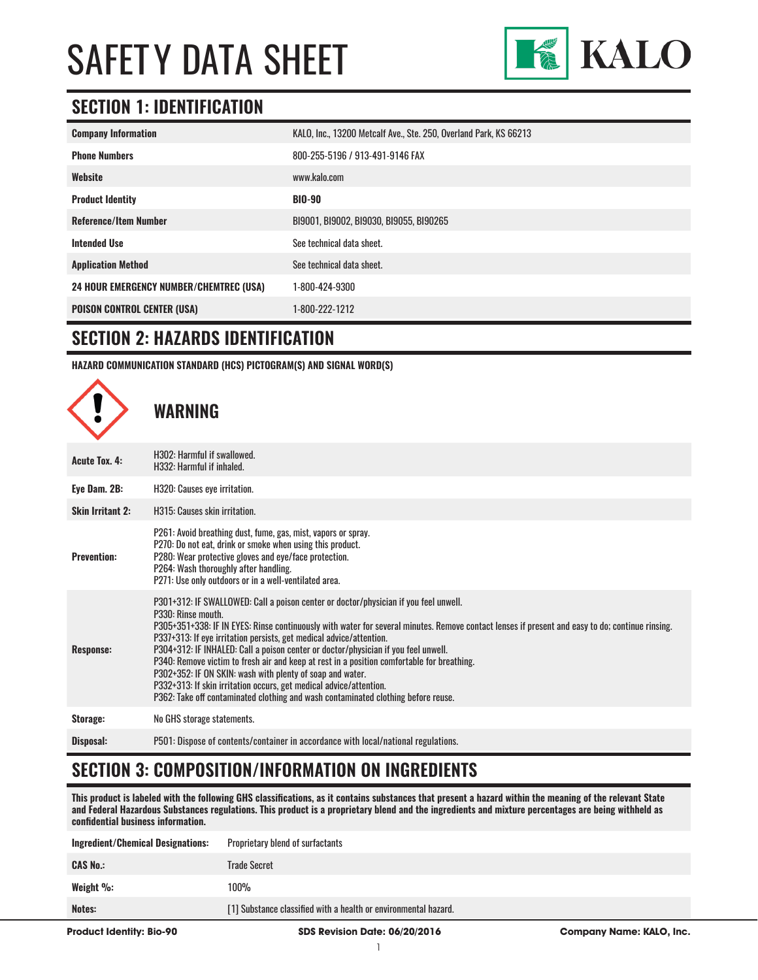

### **SECTION 1: IDENTIFICATION**

| <b>Company Information</b>                     | KALO, Inc., 13200 Metcalf Ave., Ste. 250, Overland Park, KS 66213 |
|------------------------------------------------|-------------------------------------------------------------------|
| <b>Phone Numbers</b>                           | 800-255-5196 / 913-491-9146 FAX                                   |
| Website                                        | www.kalo.com                                                      |
| <b>Product Identity</b>                        | <b>BIO-90</b>                                                     |
| <b>Reference/Item Number</b>                   | B19001, B19002, B19030, B19055, B190265                           |
| <b>Intended Use</b>                            | See technical data sheet.                                         |
| <b>Application Method</b>                      | See technical data sheet.                                         |
| <b>24 HOUR EMERGENCY NUMBER/CHEMTREC (USA)</b> | 1-800-424-9300                                                    |
| <b>POISON CONTROL CENTER (USA)</b>             | 1-800-222-1212                                                    |

#### **SECTION 2: HAZARDS IDENTIFICATION**

**HAZARD COMMUNICATION STANDARD (HCS) PICTOGRAM(S) AND SIGNAL WORD(S)**



### **SECTION 3: COMPOSITION/INFORMATION ON INGREDIENTS**

**This product is labeled with the following GHS classifications, as it contains substances that present a hazard within the meaning of the relevant State and Federal Hazardous Substances regulations. This product is a proprietary blend and the ingredients and mixture percentages are being withheld as confidential business information.**

| <b>Product Identity: Bio-90</b>   | <b>SDS Revision Date: 06/20/2016</b>                            | <b>Company Name: KALO, Inc.</b> |
|-----------------------------------|-----------------------------------------------------------------|---------------------------------|
| Notes:                            | [1] Substance classified with a health or environmental hazard. |                                 |
| Weight $\%$ :                     | 100%                                                            |                                 |
| <b>CAS No.:</b>                   | Trade Secret                                                    |                                 |
| Ingredient/Chemical Designations: | Proprietary blend of surfactants                                |                                 |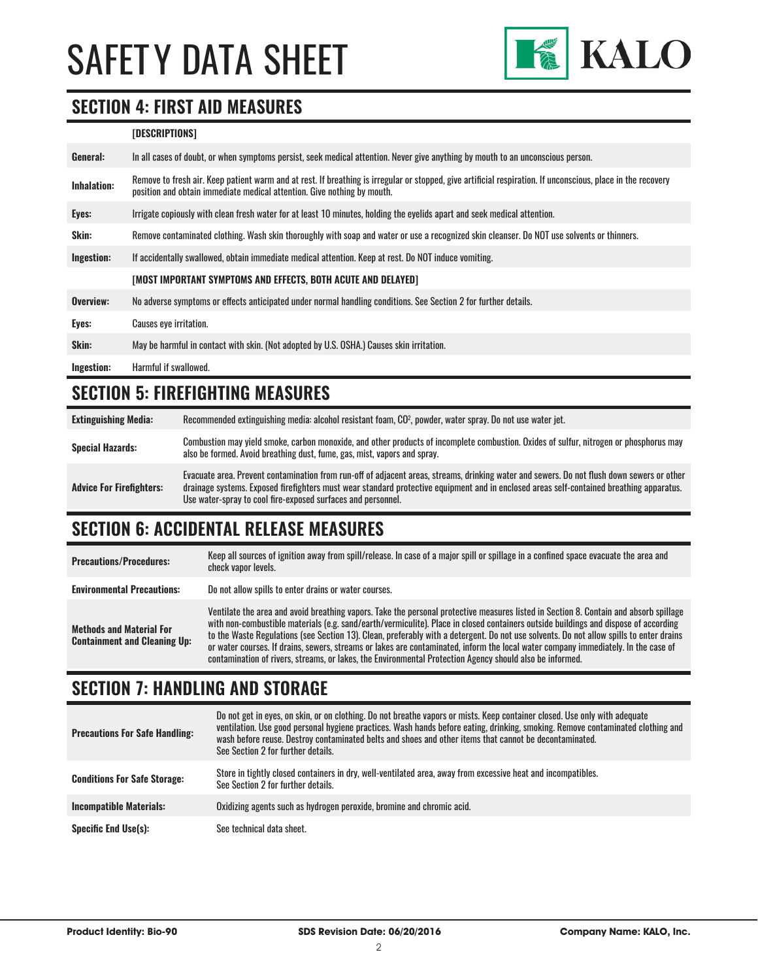

#### **SECTION 4: FIRST AID MEASURES**

#### **[DESCRIPTIONS]**

| General:           | In all cases of doubt, or when symptoms persist, seek medical attention. Never give anything by mouth to an unconscious person.                                                                                                         |
|--------------------|-----------------------------------------------------------------------------------------------------------------------------------------------------------------------------------------------------------------------------------------|
| <b>Inhalation:</b> | Remove to fresh air. Keep patient warm and at rest. If breathing is irregular or stopped, give artificial respiration. If unconscious, place in the recovery<br>position and obtain immediate medical attention. Give nothing by mouth. |
| Eyes:              | Irrigate copiously with clean fresh water for at least 10 minutes, holding the eyelids apart and seek medical attention.                                                                                                                |
| Skin:              | Remove contaminated clothing. Wash skin thoroughly with soap and water or use a recognized skin cleanser. Do NOT use solvents or thinners.                                                                                              |
| Ingestion:         | If accidentally swallowed, obtain immediate medical attention. Keep at rest, Do NOT induce vomiting.                                                                                                                                    |
|                    | [MOST IMPORTANT SYMPTOMS AND EFFECTS, BOTH ACUTE AND DELAYED]                                                                                                                                                                           |
| Overview:          | No adverse symptoms or effects anticipated under normal handling conditions. See Section 2 for further details.                                                                                                                         |
| Eyes:              | <b>Causes eye irritation.</b>                                                                                                                                                                                                           |
| Skin:              | May be harmful in contact with skin. (Not adopted by U.S. OSHA.) Causes skin irritation.                                                                                                                                                |
| Ingestion:         | Harmful if swallowed.                                                                                                                                                                                                                   |

### **SECTION 5: FIREFIGHTING MEASURES**

| <b>Extinguishing Media:</b>     | Recommended extinguishing media: alcohol resistant foam, CO <sup>2</sup> , powder, water spray. Do not use water jet.                                                                                                                                                                                                                                  |
|---------------------------------|--------------------------------------------------------------------------------------------------------------------------------------------------------------------------------------------------------------------------------------------------------------------------------------------------------------------------------------------------------|
| <b>Special Hazards:</b>         | Combustion may yield smoke, carbon monoxide, and other products of incomplete combustion. Oxides of sulfur, nitrogen or phosphorus may<br>also be formed. Avoid breathing dust, fume, gas, mist, vapors and spray.                                                                                                                                     |
| <b>Advice For Firefighters:</b> | Evacuate area. Prevent contamination from run-off of adjacent areas, streams, drinking water and sewers. Do not flush down sewers or other<br>drainage systems. Exposed firefighters must wear standard protective equipment and in enclosed areas self-contained breathing apparatus.<br>Use water-spray to cool fire-exposed surfaces and personnel. |

# **SECTION 6: ACCIDENTAL RELEASE MEASURES**

| <b>Precautions/Procedures:</b>                                         | Keep all sources of ignition away from spill/release. In case of a major spill or spillage in a confined space evacuate the area and<br>check vapor levels.                                                                                                                                                                                                                                                                                                                                                                                                                                                                                                               |
|------------------------------------------------------------------------|---------------------------------------------------------------------------------------------------------------------------------------------------------------------------------------------------------------------------------------------------------------------------------------------------------------------------------------------------------------------------------------------------------------------------------------------------------------------------------------------------------------------------------------------------------------------------------------------------------------------------------------------------------------------------|
| <b>Environmental Precautions:</b>                                      | Do not allow spills to enter drains or water courses.                                                                                                                                                                                                                                                                                                                                                                                                                                                                                                                                                                                                                     |
| <b>Methods and Material For</b><br><b>Containment and Cleaning Up:</b> | Ventilate the area and avoid breathing vapors. Take the personal protective measures listed in Section 8. Contain and absorb spillage<br>with non-combustible materials (e.g. sand/earth/vermiculite). Place in closed containers outside buildings and dispose of according<br>to the Waste Regulations (see Section 13). Clean, preferably with a detergent. Do not use solvents. Do not allow spills to enter drains<br>or water courses. If drains, sewers, streams or lakes are contaminated, inform the local water company immediately. In the case of<br>contamination of rivers, streams, or lakes, the Environmental Protection Agency should also be informed. |

# **SECTION 7: HANDLING AND STORAGE**

| <b>Precautions For Safe Handling:</b> | Do not get in eyes, on skin, or on clothing. Do not breathe vapors or mists. Keep container closed. Use only with adequate<br>ventilation. Use good personal hygiene practices. Wash hands before eating, drinking, smoking. Remove contaminated clothing and<br>wash before reuse. Destroy contaminated belts and shoes and other items that cannot be decontaminated.<br>See Section 2 for further details. |
|---------------------------------------|---------------------------------------------------------------------------------------------------------------------------------------------------------------------------------------------------------------------------------------------------------------------------------------------------------------------------------------------------------------------------------------------------------------|
| <b>Conditions For Safe Storage:</b>   | Store in tightly closed containers in dry, well-ventilated area, away from excessive heat and incompatibles.<br>See Section 2 for further details.                                                                                                                                                                                                                                                            |
| <b>Incompatible Materials:</b>        | Oxidizing agents such as hydrogen peroxide, bromine and chromic acid.                                                                                                                                                                                                                                                                                                                                         |
| <b>Specific End Use(s):</b>           | See technical data sheet.                                                                                                                                                                                                                                                                                                                                                                                     |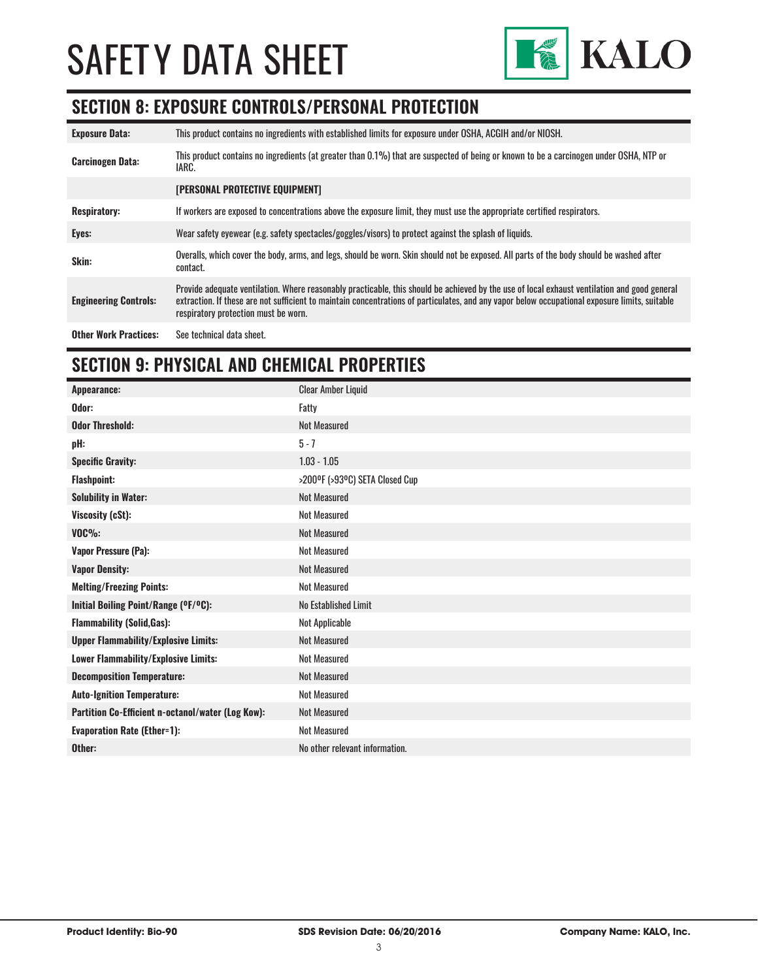

#### **SECTION 8: EXPOSURE CONTROLS/PERSONAL PROTECTION**

| <b>Exposure Data:</b>        | This product contains no ingredients with established limits for exposure under OSHA, ACGIH and/or NIOSH.                                                                                                                                                                                                                              |
|------------------------------|----------------------------------------------------------------------------------------------------------------------------------------------------------------------------------------------------------------------------------------------------------------------------------------------------------------------------------------|
| <b>Carcinogen Data:</b>      | This product contains no ingredients (at greater than 0.1%) that are suspected of being or known to be a carcinogen under OSHA. NTP or<br>IARC.                                                                                                                                                                                        |
|                              | <b>[PERSONAL PROTECTIVE EQUIPMENT]</b>                                                                                                                                                                                                                                                                                                 |
| <b>Respiratory:</b>          | If workers are exposed to concentrations above the exposure limit, they must use the appropriate certified respirators.                                                                                                                                                                                                                |
| Eyes:                        | Wear safety eyewear (e.g. safety spectacles/goggles/visors) to protect against the splash of liquids.                                                                                                                                                                                                                                  |
| Skin:                        | Overalls, which cover the body, arms, and legs, should be worn. Skin should not be exposed. All parts of the body should be washed after<br>contact.                                                                                                                                                                                   |
| <b>Engineering Controls:</b> | Provide adequate ventilation. Where reasonably practicable, this should be achieved by the use of local exhaust ventilation and good general<br>extraction. If these are not sufficient to maintain concentrations of particulates, and any vapor below occupational exposure limits, suitable<br>respiratory protection must be worn. |
| <b>Other Work Practices:</b> | See technical data sheet.                                                                                                                                                                                                                                                                                                              |

# **SECTION 9: PHYSICAL AND CHEMICAL PROPERTIES**

| <b>Clear Amber Liquid</b>      |
|--------------------------------|
| Fatty                          |
| <b>Not Measured</b>            |
| $5 - 7$                        |
| $1.03 - 1.05$                  |
| >200°F (>93°C) SETA Closed Cup |
| <b>Not Measured</b>            |
| Not Measured                   |
| <b>Not Measured</b>            |
| <b>Not Measured</b>            |
| <b>Not Measured</b>            |
| <b>Not Measured</b>            |
| No Established Limit           |
| Not Applicable                 |
| <b>Not Measured</b>            |
| <b>Not Measured</b>            |
| Not Measured                   |
| <b>Not Measured</b>            |
| Not Measured                   |
| <b>Not Measured</b>            |
| No other relevant information. |
|                                |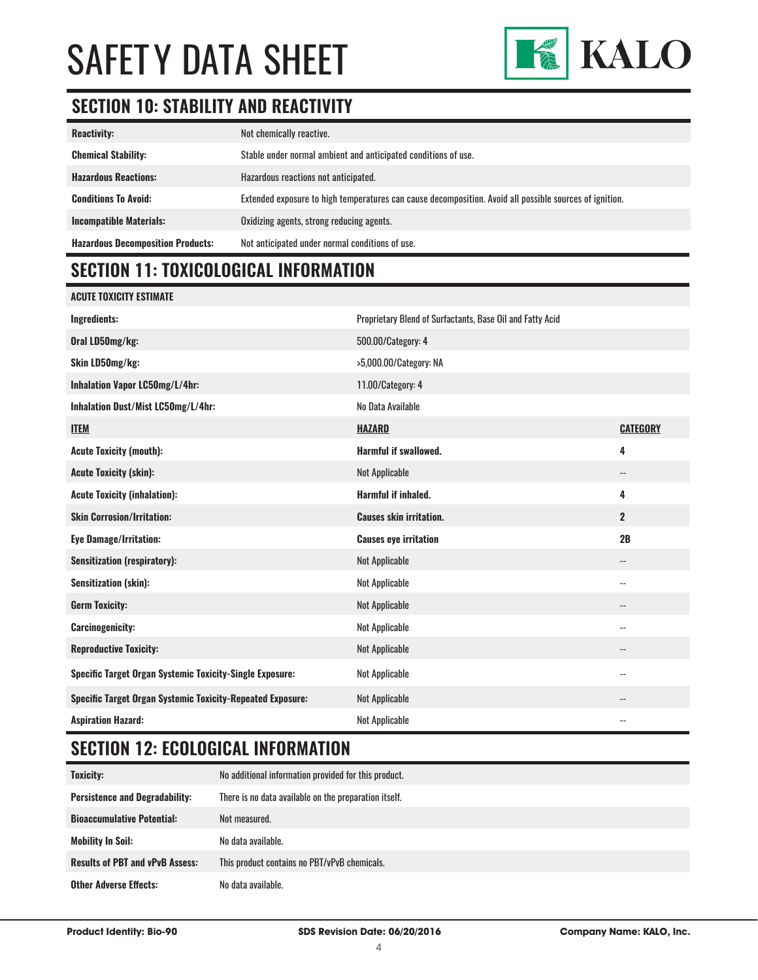

# **SECTION 10: STABILITY AND REACTIVITY**

| <b>Reactivity:</b>                       | Not chemically reactive.                                                                                |
|------------------------------------------|---------------------------------------------------------------------------------------------------------|
| <b>Chemical Stability:</b>               | Stable under normal ambient and anticipated conditions of use.                                          |
| <b>Hazardous Reactions:</b>              | Hazardous reactions not anticipated.                                                                    |
| <b>Conditions To Avoid:</b>              | Extended exposure to high temperatures can cause decomposition. Avoid all possible sources of ignition. |
| <b>Incompatible Materials:</b>           | Oxidizing agents, strong reducing agents.                                                               |
| <b>Hazardous Decomposition Products:</b> | Not anticipated under normal conditions of use.                                                         |

# **SECTION 11: TOXICOLOGICAL INFORMATION**

| <b>ACUTE TOXICITY ESTIMATE</b>                                    |                                                           |                            |
|-------------------------------------------------------------------|-----------------------------------------------------------|----------------------------|
| Ingredients:                                                      | Proprietary Blend of Surfactants, Base Oil and Fatty Acid |                            |
| Oral LD50mg/kg:                                                   | 500.00/Category: 4                                        |                            |
| Skin LD50mg/kg:                                                   | >5,000.00/Category: NA                                    |                            |
| Inhalation Vapor LC50mg/L/4hr:                                    | 11.00/Category: 4                                         |                            |
| Inhalation Dust/Mist LC50mg/L/4hr:                                | No Data Available                                         |                            |
| <b>ITEM</b>                                                       | <b>HAZARD</b>                                             | <b>CATEGORY</b>            |
| <b>Acute Toxicity (mouth):</b>                                    | <b>Harmful if swallowed.</b>                              | 4                          |
| <b>Acute Toxicity (skin):</b>                                     | <b>Not Applicable</b>                                     | $\overline{\phantom{a}}$   |
| <b>Acute Toxicity (inhalation):</b>                               | Harmful if inhaled.                                       | 4                          |
| <b>Skin Corrosion/Irritation:</b>                                 | <b>Causes skin irritation.</b>                            | $\overline{2}$             |
| <b>Eye Damage/Irritation:</b>                                     | <b>Causes eye irritation</b>                              | 2B                         |
| <b>Sensitization (respiratory):</b>                               | <b>Not Applicable</b>                                     | $\overline{\phantom{a}}$   |
| <b>Sensitization (skin):</b>                                      | <b>Not Applicable</b>                                     | $\overline{\phantom{a}}$   |
| <b>Germ Toxicity:</b>                                             | <b>Not Applicable</b>                                     | $\overline{\phantom{a}}$   |
| <b>Carcinogenicity:</b>                                           | <b>Not Applicable</b>                                     | $\overline{\phantom{a}}$ . |
| <b>Reproductive Toxicity:</b>                                     | <b>Not Applicable</b>                                     |                            |
| <b>Specific Target Organ Systemic Toxicity-Single Exposure:</b>   | <b>Not Applicable</b>                                     | $\overline{\phantom{a}}$ . |
| <b>Specific Target Organ Systemic Toxicity-Repeated Exposure:</b> | <b>Not Applicable</b>                                     | $\overline{\phantom{a}}$   |
| <b>Aspiration Hazard:</b>                                         | <b>Not Applicable</b>                                     | $-$                        |

### **SECTION 12: ECOLOGICAL INFORMATION**

| Toxicity:                              | No additional information provided for this product.  |
|----------------------------------------|-------------------------------------------------------|
| <b>Persistence and Degradability:</b>  | There is no data available on the preparation itself. |
| <b>Bioaccumulative Potential:</b>      | Not measured.                                         |
| <b>Mobility In Soil:</b>               | No data available.                                    |
| <b>Results of PBT and vPvB Assess:</b> | This product contains no PBT/vPvB chemicals.          |
| <b>Other Adverse Effects:</b>          | No data available.                                    |